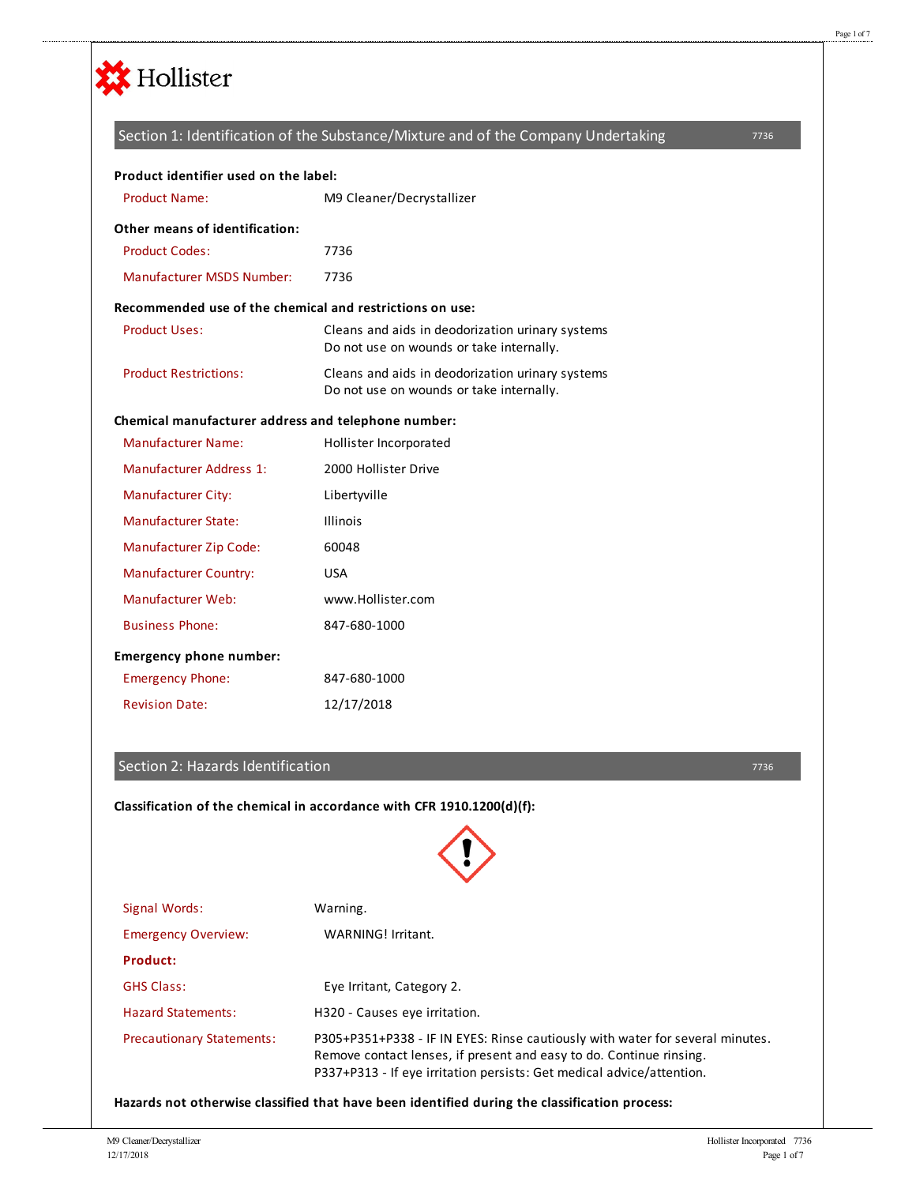

# 7736 Product Name: M9 Cleaner/Decrystallizer Product Codes: 27736 Manufacturer MSDS Number: 7736 Product Uses: Cleans and aids in deodorization urinary systems Do not use on wounds or take internally. Product Restrictions: Cleans and aids in deodorization urinary systems Do not use on wounds or take internally. Manufacturer Name: Hollister Incorporated Manufacturer Address 1: 2000 Hollister Drive Manufacturer City: Libertyville Manufacturer State: Illinois Manufacturer Zip Code: 60048 Manufacturer Country: USA Manufacturer Web: www.Hollister.com Business Phone: 847-680-1000 Emergency Phone: 847-680-1000 Revision Date: 12/17/2018 **Product identifier used on the label: Other means of identification: Recommended use of the chemical and restrictions on use: Chemical manufacturer address and telephone number: Emergency phone number:** Section 1: Identification of the Substance/Mixture and of the Company Undertaking

## Section 2: Hazards Identification

**Classification of the chemical in accordance with CFR 1910.1200(d)(f):**

7736

Signal Words: Warning. Emergency Overview: WARNING! Irritant. **Product:** GHS Class: Eye Irritant, Category 2. Hazard Statements: H320 - Causes eye irritation. Precautionary Statements: P305+P351+P338 - IF IN EYES: Rinse cautiously with water for several minutes. Remove contact lenses, if present and easy to do. Continue rinsing. P337+P313 - If eye irritation persists: Get medical advice/attention.

**Hazards not otherwise classified that have been identified during the classification process:**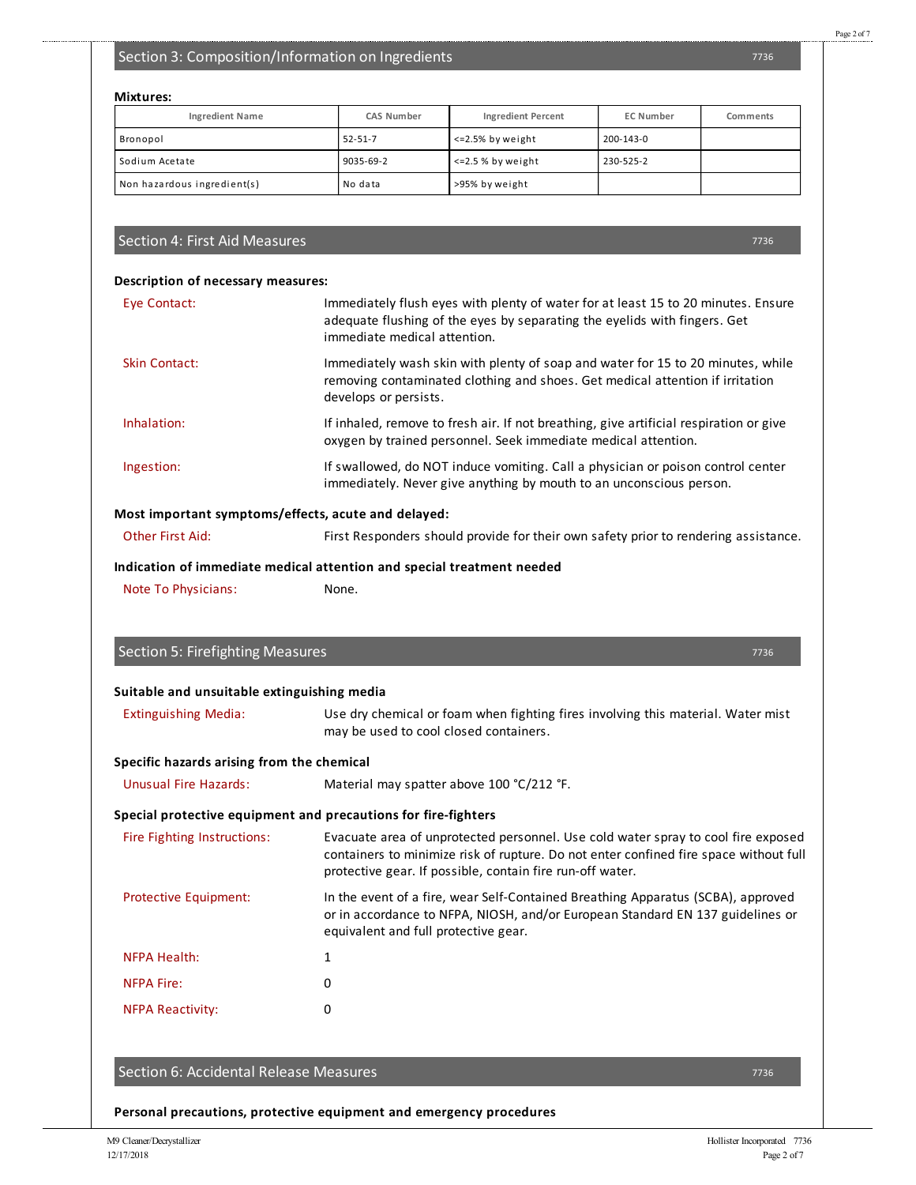## Section 3: Composition/Information on Ingredients

## **Mixtures:**

| <b>Ingredient Name</b>      | <b>CAS Number</b> | <b>Ingredient Percent</b> | <b>EC Number</b> | Comments |
|-----------------------------|-------------------|---------------------------|------------------|----------|
| Bronopol                    | $52 - 51 - 7$     | <=2.5% by weight          | 200-143-0        |          |
| Sodium Acetate              | 9035-69-2         | $\leq$ 2.5 % by weight    | 230-525-2        |          |
| Non hazardous ingredient(s) | No data           | >95% by weight            |                  |          |

## Section 4: First Aid Measures

#### **Description of necessary measures:**

| Eye Contact:                                        | Immediately flush eyes with plenty of water for at least 15 to 20 minutes. Ensure<br>adequate flushing of the eyes by separating the eyelids with fingers. Get<br>immediate medical attention. |
|-----------------------------------------------------|------------------------------------------------------------------------------------------------------------------------------------------------------------------------------------------------|
| Skin Contact:                                       | Immediately wash skin with plenty of soap and water for 15 to 20 minutes, while<br>removing contaminated clothing and shoes. Get medical attention if irritation<br>develops or persists.      |
| Inhalation:                                         | If inhaled, remove to fresh air. If not breathing, give artificial respiration or give<br>oxygen by trained personnel. Seek immediate medical attention.                                       |
| Ingestion:                                          | If swallowed, do NOT induce vomiting. Call a physician or poison control center<br>immediately. Never give anything by mouth to an unconscious person.                                         |
| Most important symptoms/effects, acute and delayed: |                                                                                                                                                                                                |

# Other First Aid: First Responders should provide for their own safety prior to rendering assistance.

**Indication of immediate medical attention and special treatment needed**

Note To Physicians: None.

Section 5: Firefighting Measures

| ı |  |  |
|---|--|--|

### **Suitable and unsuitable extinguishing media**

| Specific hazards arising from the chemical |                                                                                  |
|--------------------------------------------|----------------------------------------------------------------------------------|
|                                            | may be used to cool closed containers.                                           |
| <b>Extinguishing Media:</b>                | Use dry chemical or foam when fighting fires involving this material. Water mist |

Unusual Fire Hazards: Material may spatterabove 100 °C/212 °F.

### **Special protective equipment and precautions for fire-fighters**

| Fire Fighting Instructions:  | Evacuate area of unprotected personnel. Use cold water spray to cool fire exposed<br>containers to minimize risk of rupture. Do not enter confined fire space without full<br>protective gear. If possible, contain fire run-off water. |
|------------------------------|-----------------------------------------------------------------------------------------------------------------------------------------------------------------------------------------------------------------------------------------|
| <b>Protective Equipment:</b> | In the event of a fire, wear Self-Contained Breathing Apparatus (SCBA), approved<br>or in accordance to NFPA, NIOSH, and/or European Standard EN 137 guidelines or<br>equivalent and full protective gear.                              |

| <b>NFPA Health:</b>     |   |
|-------------------------|---|
| <b>NFPA Fire:</b>       | n |
| <b>NFPA Reactivity:</b> |   |

## Section 6: Accidental Release Measures

7736

**Personal precautions, protective equipment and emergency procedures**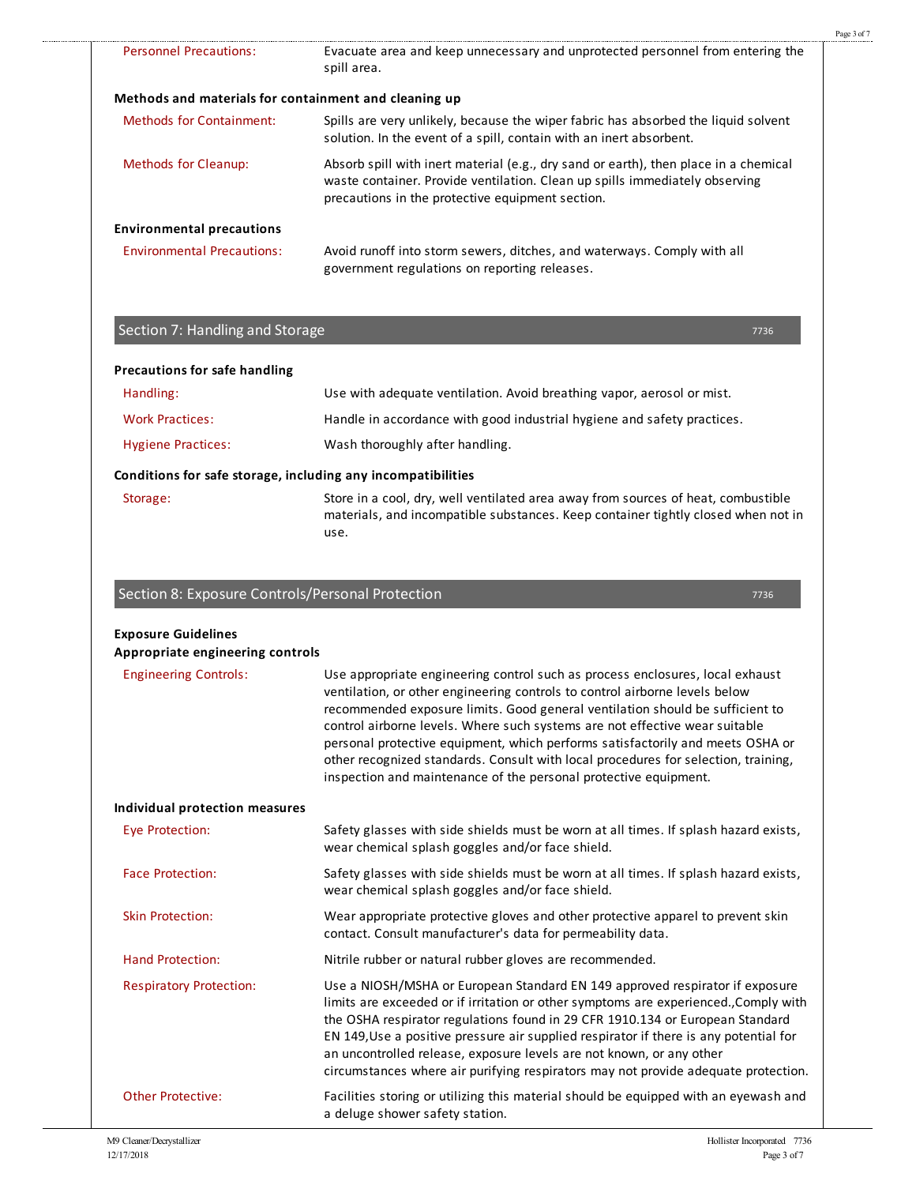|                                                       |                                                                                                                                                                                                                         | Page 3 of 7 |
|-------------------------------------------------------|-------------------------------------------------------------------------------------------------------------------------------------------------------------------------------------------------------------------------|-------------|
| Personnel Precautions:                                | Evacuate area and keep unnecessary and unprotected personnel from entering the<br>spill area.                                                                                                                           |             |
| Methods and materials for containment and cleaning up |                                                                                                                                                                                                                         |             |
| Methods for Containment:                              | Spills are very unlikely, because the wiper fabric has absorbed the liquid solvent<br>solution. In the event of a spill, contain with an inert absorbent.                                                               |             |
| Methods for Cleanup:                                  | Absorb spill with inert material (e.g., dry sand or earth), then place in a chemical<br>waste container. Provide ventilation. Clean up spills immediately observing<br>precautions in the protective equipment section. |             |
| <b>Environmental precautions</b>                      |                                                                                                                                                                                                                         |             |
| <b>Environmental Precautions:</b>                     | Avoid runoff into storm sewers, ditches, and waterways. Comply with all<br>government regulations on reporting releases.                                                                                                |             |

## Section 7: Handling and Storage

.........................

| Precautions for safe handling |                                                                                                                                                                        |
|-------------------------------|------------------------------------------------------------------------------------------------------------------------------------------------------------------------|
| Handling:                     | Use with adequate ventilation. Avoid breathing vapor, aerosol or mist.                                                                                                 |
| <b>Work Practices:</b>        | Handle in accordance with good industrial hygiene and safety practices.                                                                                                |
| <b>Hygiene Practices:</b>     | Wash thoroughly after handling.                                                                                                                                        |
|                               | Conditions for safe storage, including any incompatibilities                                                                                                           |
| Storage:                      | Store in a cool, dry, well ventilated area away from sources of heat, combustible<br>materials, and incompatible substances. Keep container tightly closed when not in |

## Section 8:Exposure Controls/Personal Protection

use.

| <b>Exposure Guidelines</b><br>Appropriate engineering controls |                                                                                                                                                                                                                                                                                                                                                                                                                                                                                                                                                                          |
|----------------------------------------------------------------|--------------------------------------------------------------------------------------------------------------------------------------------------------------------------------------------------------------------------------------------------------------------------------------------------------------------------------------------------------------------------------------------------------------------------------------------------------------------------------------------------------------------------------------------------------------------------|
| <b>Engineering Controls:</b>                                   | Use appropriate engineering control such as process enclosures, local exhaust<br>ventilation, or other engineering controls to control airborne levels below<br>recommended exposure limits. Good general ventilation should be sufficient to<br>control airborne levels. Where such systems are not effective wear suitable<br>personal protective equipment, which performs satisfactorily and meets OSHA or<br>other recognized standards. Consult with local procedures for selection, training,<br>inspection and maintenance of the personal protective equipment. |
| Individual protection measures                                 |                                                                                                                                                                                                                                                                                                                                                                                                                                                                                                                                                                          |
| Eye Protection:                                                | Safety glasses with side shields must be worn at all times. If splash hazard exists,<br>wear chemical splash goggles and/or face shield.                                                                                                                                                                                                                                                                                                                                                                                                                                 |
| <b>Face Protection:</b>                                        | Safety glasses with side shields must be worn at all times. If splash hazard exists,<br>wear chemical splash goggles and/or face shield.                                                                                                                                                                                                                                                                                                                                                                                                                                 |
| <b>Skin Protection:</b>                                        | Wear appropriate protective gloves and other protective apparel to prevent skin<br>contact. Consult manufacturer's data for permeability data.                                                                                                                                                                                                                                                                                                                                                                                                                           |
| <b>Hand Protection:</b>                                        | Nitrile rubber or natural rubber gloves are recommended.                                                                                                                                                                                                                                                                                                                                                                                                                                                                                                                 |
| <b>Respiratory Protection:</b>                                 | Use a NIOSH/MSHA or European Standard EN 149 approved respirator if exposure<br>limits are exceeded or if irritation or other symptoms are experienced., Comply with<br>the OSHA respirator regulations found in 29 CFR 1910.134 or European Standard<br>EN 149, Use a positive pressure air supplied respirator if there is any potential for<br>an uncontrolled release, exposure levels are not known, or any other<br>circumstances where air purifying respirators may not provide adequate protection.                                                             |
| <b>Other Protective:</b>                                       | Facilities storing or utilizing this material should be equipped with an eyewash and<br>a deluge shower safety station.                                                                                                                                                                                                                                                                                                                                                                                                                                                  |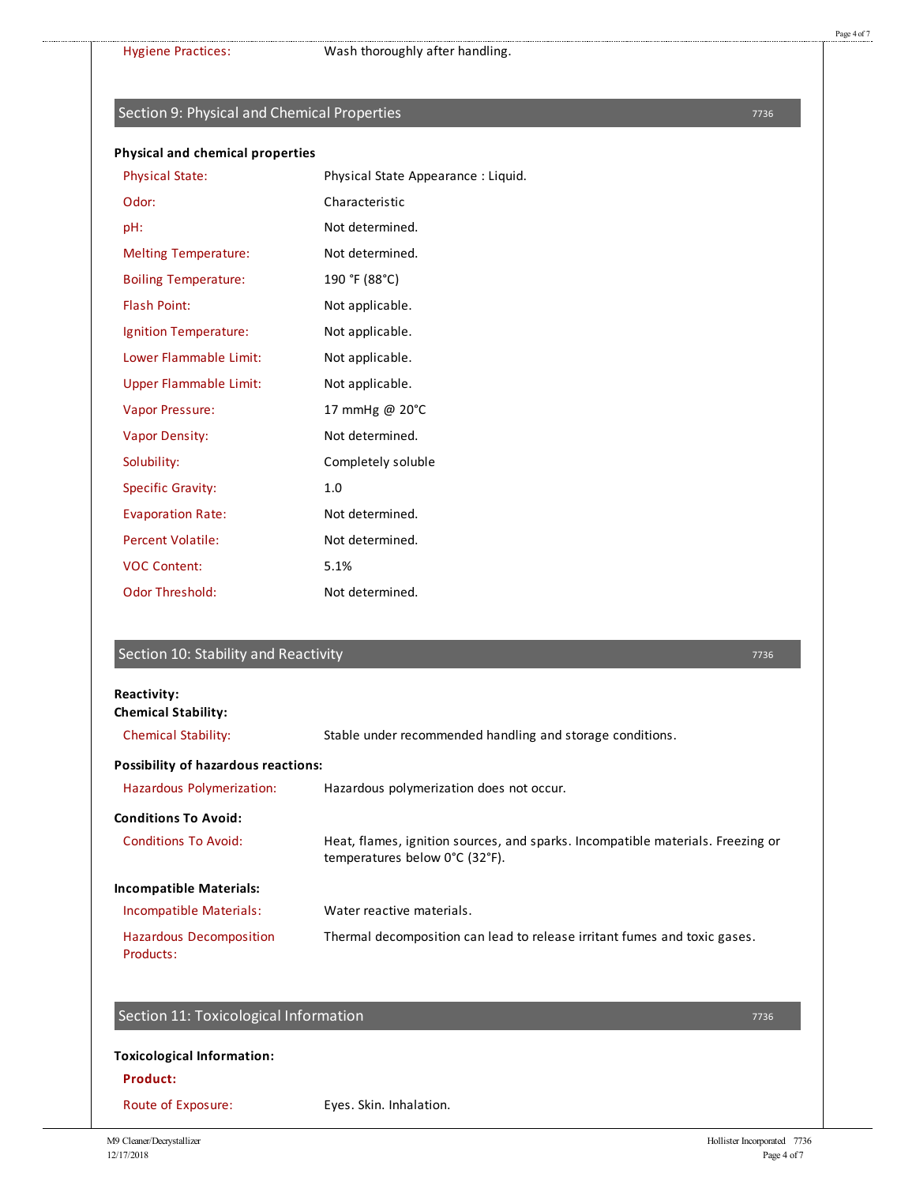## Section 9: Physical and Chemical Properties

#### **Physical and chemical properties**

| <b>Physical State:</b>        | Physical State Appearance: Liquid. |
|-------------------------------|------------------------------------|
| Odor:                         | Characteristic                     |
| pH:                           | Not determined.                    |
| <b>Melting Temperature:</b>   | Not determined.                    |
| <b>Boiling Temperature:</b>   | 190 °F (88°C)                      |
| <b>Flash Point:</b>           | Not applicable.                    |
| Ignition Temperature:         | Not applicable.                    |
| Lower Flammable Limit:        | Not applicable.                    |
| <b>Upper Flammable Limit:</b> | Not applicable.                    |
| <b>Vapor Pressure:</b>        | 17 mmHg @ 20°C                     |
| <b>Vapor Density:</b>         | Not determined.                    |
| Solubility:                   | Completely soluble                 |
| <b>Specific Gravity:</b>      | 1.0                                |
| <b>Evaporation Rate:</b>      | Not determined.                    |
| <b>Percent Volatile:</b>      | Not determined.                    |
| <b>VOC Content:</b>           | 5.1%                               |
| <b>Odor Threshold:</b>        | Not determined.                    |
|                               |                                    |

## Section 10: Stability and Reactivity

#### **Reactivity: Chemical Stability:**

| <b>Chemical Stability:</b>                  | Stable under recommended handling and storage conditions.                                                         |
|---------------------------------------------|-------------------------------------------------------------------------------------------------------------------|
| <b>Possibility of hazardous reactions:</b>  |                                                                                                                   |
| Hazardous Polymerization:                   | Hazardous polymerization does not occur.                                                                          |
| <b>Conditions To Avoid:</b>                 |                                                                                                                   |
| <b>Conditions To Avoid:</b>                 | Heat, flames, ignition sources, and sparks. Incompatible materials. Freezing or<br>temperatures below 0°C (32°F). |
| <b>Incompatible Materials:</b>              |                                                                                                                   |
| Incompatible Materials:                     | Water reactive materials.                                                                                         |
| <b>Hazardous Decomposition</b><br>Products: | Thermal decomposition can lead to release irritant fumes and toxic gases.                                         |

## Section 11: Toxicological Information

## **Toxicological Information:**

## **Product:**

Route of Exposure: Eyes. Skin. Inhalation.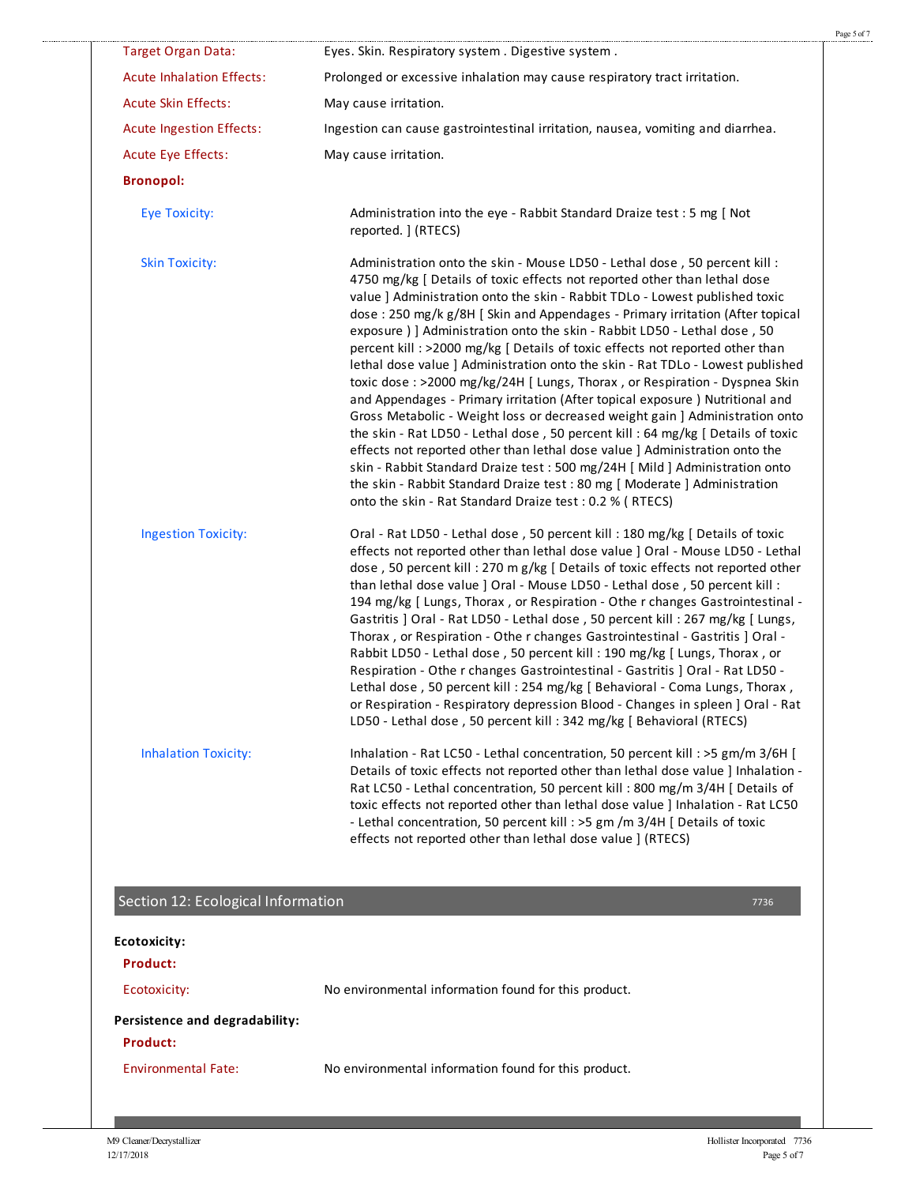| <b>Target Organ Data:</b>                         | Eyes. Skin. Respiratory system. Digestive system.                                                                                                                                                                                                                                                                                                                                                                                                                                                                                                                                                                                                                                                                                                                                                                                                                                                                                                                                                                                                                                                                                                                                                                 |
|---------------------------------------------------|-------------------------------------------------------------------------------------------------------------------------------------------------------------------------------------------------------------------------------------------------------------------------------------------------------------------------------------------------------------------------------------------------------------------------------------------------------------------------------------------------------------------------------------------------------------------------------------------------------------------------------------------------------------------------------------------------------------------------------------------------------------------------------------------------------------------------------------------------------------------------------------------------------------------------------------------------------------------------------------------------------------------------------------------------------------------------------------------------------------------------------------------------------------------------------------------------------------------|
| <b>Acute Inhalation Effects:</b>                  | Prolonged or excessive inhalation may cause respiratory tract irritation.                                                                                                                                                                                                                                                                                                                                                                                                                                                                                                                                                                                                                                                                                                                                                                                                                                                                                                                                                                                                                                                                                                                                         |
| <b>Acute Skin Effects:</b>                        | May cause irritation.                                                                                                                                                                                                                                                                                                                                                                                                                                                                                                                                                                                                                                                                                                                                                                                                                                                                                                                                                                                                                                                                                                                                                                                             |
| <b>Acute Ingestion Effects:</b>                   | Ingestion can cause gastrointestinal irritation, nausea, vomiting and diarrhea.                                                                                                                                                                                                                                                                                                                                                                                                                                                                                                                                                                                                                                                                                                                                                                                                                                                                                                                                                                                                                                                                                                                                   |
| <b>Acute Eye Effects:</b>                         | May cause irritation.                                                                                                                                                                                                                                                                                                                                                                                                                                                                                                                                                                                                                                                                                                                                                                                                                                                                                                                                                                                                                                                                                                                                                                                             |
| <b>Bronopol:</b>                                  |                                                                                                                                                                                                                                                                                                                                                                                                                                                                                                                                                                                                                                                                                                                                                                                                                                                                                                                                                                                                                                                                                                                                                                                                                   |
| <b>Eye Toxicity:</b>                              | Administration into the eye - Rabbit Standard Draize test : 5 mg [ Not<br>reported. ] (RTECS)                                                                                                                                                                                                                                                                                                                                                                                                                                                                                                                                                                                                                                                                                                                                                                                                                                                                                                                                                                                                                                                                                                                     |
| <b>Skin Toxicity:</b>                             | Administration onto the skin - Mouse LD50 - Lethal dose, 50 percent kill:<br>4750 mg/kg [ Details of toxic effects not reported other than lethal dose<br>value ] Administration onto the skin - Rabbit TDLo - Lowest published toxic<br>dose: 250 mg/k g/8H [ Skin and Appendages - Primary irritation (After topical<br>exposure ) ] Administration onto the skin - Rabbit LD50 - Lethal dose, 50<br>percent kill : >2000 mg/kg [ Details of toxic effects not reported other than<br>lethal dose value ] Administration onto the skin - Rat TDLo - Lowest published<br>toxic dose: >2000 mg/kg/24H [ Lungs, Thorax, or Respiration - Dyspnea Skin<br>and Appendages - Primary irritation (After topical exposure) Nutritional and<br>Gross Metabolic - Weight loss or decreased weight gain ] Administration onto<br>the skin - Rat LD50 - Lethal dose, 50 percent kill: 64 mg/kg [ Details of toxic<br>effects not reported other than lethal dose value ] Administration onto the<br>skin - Rabbit Standard Draize test : 500 mg/24H [ Mild ] Administration onto<br>the skin - Rabbit Standard Draize test : 80 mg [ Moderate ] Administration<br>onto the skin - Rat Standard Draize test : 0.2 % ( RTECS) |
| <b>Ingestion Toxicity:</b>                        | Oral - Rat LD50 - Lethal dose, 50 percent kill: 180 mg/kg [ Details of toxic<br>effects not reported other than lethal dose value ] Oral - Mouse LD50 - Lethal<br>dose, 50 percent kill: 270 m g/kg [ Details of toxic effects not reported other<br>than lethal dose value ] Oral - Mouse LD50 - Lethal dose, 50 percent kill :<br>194 mg/kg [ Lungs, Thorax , or Respiration - Othe r changes Gastrointestinal -<br>Gastritis ] Oral - Rat LD50 - Lethal dose, 50 percent kill: 267 mg/kg [ Lungs,<br>Thorax, or Respiration - Othe r changes Gastrointestinal - Gastritis ] Oral -<br>Rabbit LD50 - Lethal dose, 50 percent kill: 190 mg/kg [ Lungs, Thorax, or<br>Respiration - Othe r changes Gastrointestinal - Gastritis ] Oral - Rat LD50 -<br>Lethal dose, 50 percent kill: 254 mg/kg [ Behavioral - Coma Lungs, Thorax,<br>or Respiration - Respiratory depression Blood - Changes in spleen ] Oral - Rat<br>LD50 - Lethal dose, 50 percent kill: 342 mg/kg [ Behavioral (RTECS)                                                                                                                                                                                                                        |
| <b>Inhalation Toxicity:</b>                       | Inhalation - Rat LC50 - Lethal concentration, 50 percent kill : >5 gm/m 3/6H [<br>Details of toxic effects not reported other than lethal dose value ] Inhalation -<br>Rat LC50 - Lethal concentration, 50 percent kill : 800 mg/m 3/4H [ Details of<br>toxic effects not reported other than lethal dose value ] Inhalation - Rat LC50<br>- Lethal concentration, 50 percent kill : >5 gm /m 3/4H [ Details of toxic<br>effects not reported other than lethal dose value ] (RTECS)                                                                                                                                                                                                                                                                                                                                                                                                                                                                                                                                                                                                                                                                                                                              |
| Section 12: Ecological Information                | 7736                                                                                                                                                                                                                                                                                                                                                                                                                                                                                                                                                                                                                                                                                                                                                                                                                                                                                                                                                                                                                                                                                                                                                                                                              |
| Ecotoxicity:                                      |                                                                                                                                                                                                                                                                                                                                                                                                                                                                                                                                                                                                                                                                                                                                                                                                                                                                                                                                                                                                                                                                                                                                                                                                                   |
| <b>Product:</b>                                   |                                                                                                                                                                                                                                                                                                                                                                                                                                                                                                                                                                                                                                                                                                                                                                                                                                                                                                                                                                                                                                                                                                                                                                                                                   |
| Ecotoxicity:                                      | No environmental information found for this product.                                                                                                                                                                                                                                                                                                                                                                                                                                                                                                                                                                                                                                                                                                                                                                                                                                                                                                                                                                                                                                                                                                                                                              |
| Persistence and degradability:<br><b>Product:</b> |                                                                                                                                                                                                                                                                                                                                                                                                                                                                                                                                                                                                                                                                                                                                                                                                                                                                                                                                                                                                                                                                                                                                                                                                                   |
|                                                   |                                                                                                                                                                                                                                                                                                                                                                                                                                                                                                                                                                                                                                                                                                                                                                                                                                                                                                                                                                                                                                                                                                                                                                                                                   |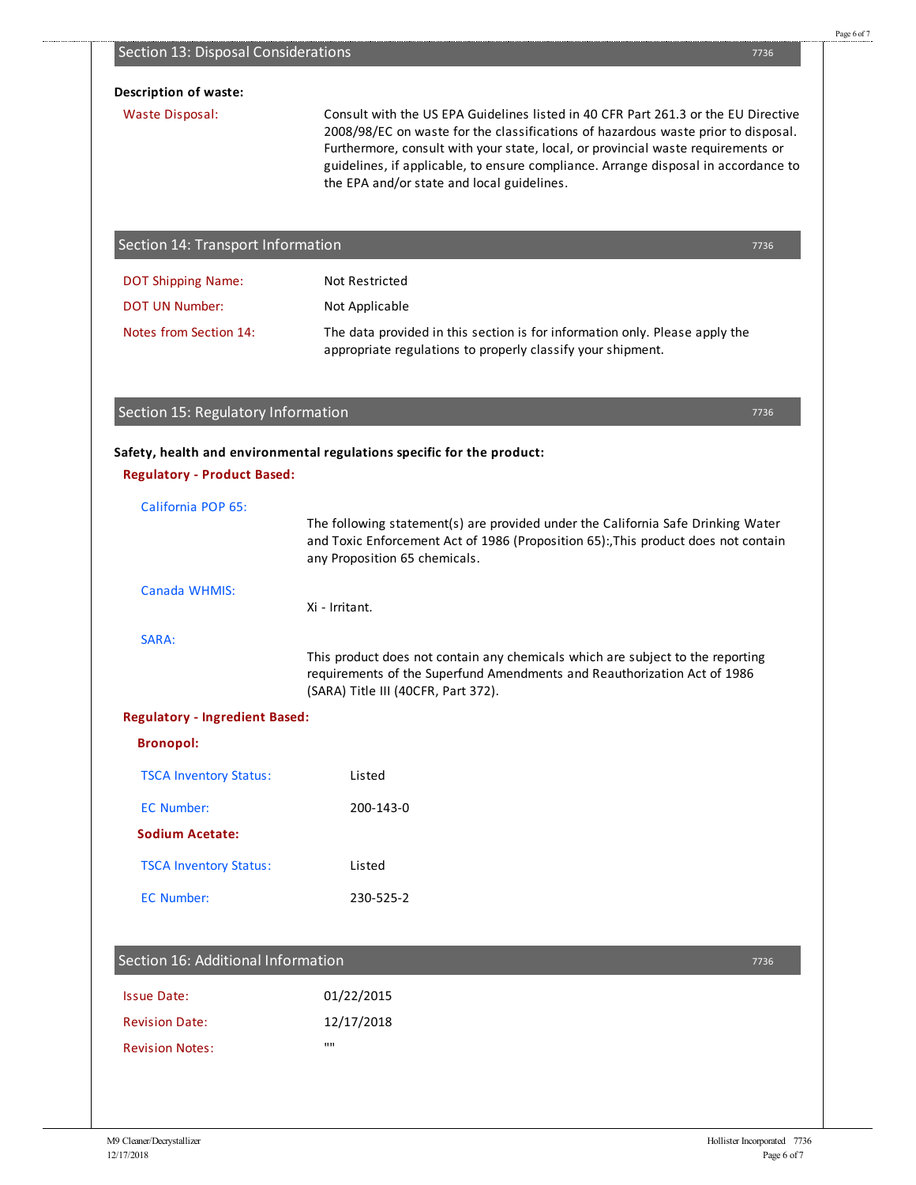| <b>Description of waste:</b>          |                                                                                                                                                                                                                                                                                                                                                                                                 |  |  |  |
|---------------------------------------|-------------------------------------------------------------------------------------------------------------------------------------------------------------------------------------------------------------------------------------------------------------------------------------------------------------------------------------------------------------------------------------------------|--|--|--|
| <b>Waste Disposal:</b>                | Consult with the US EPA Guidelines listed in 40 CFR Part 261.3 or the EU Directive<br>2008/98/EC on waste for the classifications of hazardous waste prior to disposal.<br>Furthermore, consult with your state, local, or provincial waste requirements or<br>guidelines, if applicable, to ensure compliance. Arrange disposal in accordance to<br>the EPA and/or state and local guidelines. |  |  |  |
| Section 14: Transport Information     | 7736                                                                                                                                                                                                                                                                                                                                                                                            |  |  |  |
| <b>DOT Shipping Name:</b>             | <b>Not Restricted</b>                                                                                                                                                                                                                                                                                                                                                                           |  |  |  |
| <b>DOT UN Number:</b>                 | Not Applicable                                                                                                                                                                                                                                                                                                                                                                                  |  |  |  |
| Notes from Section 14:                | The data provided in this section is for information only. Please apply the<br>appropriate regulations to properly classify your shipment.                                                                                                                                                                                                                                                      |  |  |  |
| Section 15: Regulatory Information    | 7736                                                                                                                                                                                                                                                                                                                                                                                            |  |  |  |
|                                       | Safety, health and environmental regulations specific for the product:                                                                                                                                                                                                                                                                                                                          |  |  |  |
| <b>Regulatory - Product Based:</b>    |                                                                                                                                                                                                                                                                                                                                                                                                 |  |  |  |
| California POP 65:                    | The following statement(s) are provided under the California Safe Drinking Water<br>and Toxic Enforcement Act of 1986 (Proposition 65):, This product does not contain<br>any Proposition 65 chemicals.                                                                                                                                                                                         |  |  |  |
| Canada WHMIS:                         | Xi - Irritant.                                                                                                                                                                                                                                                                                                                                                                                  |  |  |  |
| SARA:                                 | This product does not contain any chemicals which are subject to the reporting<br>requirements of the Superfund Amendments and Reauthorization Act of 1986<br>(SARA) Title III (40CFR, Part 372).                                                                                                                                                                                               |  |  |  |
| <b>Regulatory - Ingredient Based:</b> |                                                                                                                                                                                                                                                                                                                                                                                                 |  |  |  |
| <b>Bronopol:</b>                      |                                                                                                                                                                                                                                                                                                                                                                                                 |  |  |  |
| <b>TSCA Inventory Status:</b>         | Listed                                                                                                                                                                                                                                                                                                                                                                                          |  |  |  |
| <b>EC Number:</b>                     | 200-143-0                                                                                                                                                                                                                                                                                                                                                                                       |  |  |  |
| <b>Sodium Acetate:</b>                |                                                                                                                                                                                                                                                                                                                                                                                                 |  |  |  |
| <b>TSCA Inventory Status:</b>         | Listed                                                                                                                                                                                                                                                                                                                                                                                          |  |  |  |
| <b>EC Number:</b>                     | 230-525-2                                                                                                                                                                                                                                                                                                                                                                                       |  |  |  |
| Section 16: Additional Information    | 7736                                                                                                                                                                                                                                                                                                                                                                                            |  |  |  |
|                                       | 01/22/2015                                                                                                                                                                                                                                                                                                                                                                                      |  |  |  |
| <b>Issue Date:</b>                    |                                                                                                                                                                                                                                                                                                                                                                                                 |  |  |  |
| <b>Revision Date:</b>                 | 12/17/2018                                                                                                                                                                                                                                                                                                                                                                                      |  |  |  |

Section 13: Disposal Considerations

....................